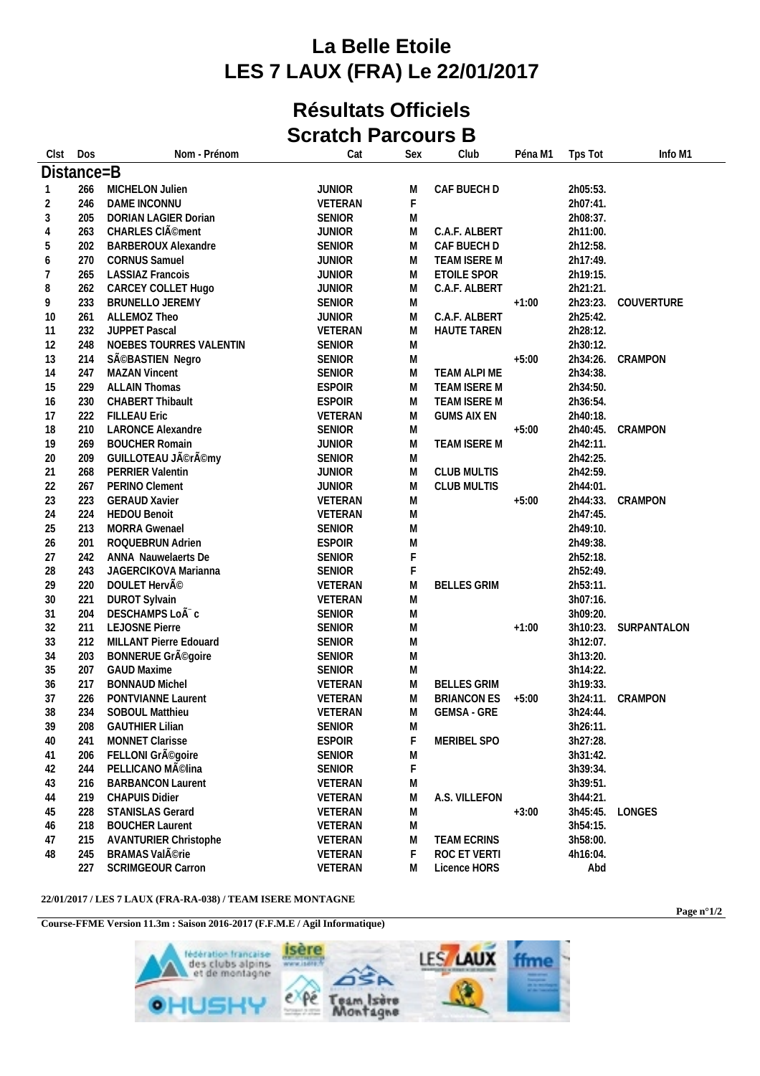## **La Belle Etoile LES 7 LAUX (FRA) Le 22/01/2017**

## **Résultats Officiels Scratch Parcours B**

| Clst           | Dos        | Nom - Prénom                                | Cat                | Sex         | Club                                     | Péna M1 | Tps Tot              | Info M1     |
|----------------|------------|---------------------------------------------|--------------------|-------------|------------------------------------------|---------|----------------------|-------------|
|                | Distance=B |                                             |                    |             |                                          |         |                      |             |
|                | 266        | MICHELON Julien                             | <b>JUNIOR</b>      | M           | CAF BUECH D                              |         | 2h05:53.             |             |
| $\overline{2}$ | 246        | DAME INCONNU                                | VETERAN            | F           |                                          |         | 2h07:41.             |             |
| $\sqrt{3}$     | 205        | DORIAN LAGIER Dorian                        | <b>SENIOR</b>      | M           |                                          |         | 2h08:37.             |             |
| $\overline{4}$ | 263        | CHARLES CIÃ <sup>©</sup> ment               | <b>JUNIOR</b>      | M           | C.A.F. ALBERT                            |         | 2h11:00.             |             |
| 5              | 202        | <b>BARBEROUX Alexandre</b>                  | <b>SENIOR</b>      | M           | CAF BUECH D                              |         | 2h12:58.             |             |
| 6              | 270        | <b>CORNUS Samuel</b>                        | <b>JUNIOR</b>      | M           | TEAM ISERE M                             |         | 2h17:49.             |             |
| 7              | 265        | <b>LASSIAZ Francois</b>                     | <b>JUNIOR</b>      | M           | ETOILE SPOR                              |         | 2h19:15.             |             |
| 8              | 262        | CARCEY COLLET Hugo                          | <b>JUNIOR</b>      | M           | C.A.F. ALBERT                            |         | 2h21:21.             |             |
| 9              | 233        | <b>BRUNELLO JEREMY</b>                      | <b>SENIOR</b>      | M           |                                          | $+1:00$ | 2h23:23.             | COUVERTURE  |
| 10             | 261        | ALLEMOZ Theo                                | <b>JUNIOR</b>      | M           | C.A.F. ALBERT                            |         | 2h25:42.             |             |
| 11             | 232        | <b>JUPPET Pascal</b>                        | VETERAN            | M           | HAUTE TAREN                              |         | 2h28:12.             |             |
| 12             | 248        | NOEBES TOURRES VALENTIN                     | <b>SENIOR</b>      | M           |                                          |         | 2h30:12.             |             |
| 13             | 214        | SéBASTIEN Negro                             | <b>SENIOR</b>      | M           |                                          | $+5:00$ | 2h34:26.             | CRAMPON     |
| 14             | 247        | <b>MAZAN Vincent</b>                        | <b>SENIOR</b>      | M           | TEAM ALPI ME                             |         | 2h34:38.             |             |
| 15             | 229        | <b>ALLAIN Thomas</b>                        | <b>ESPOIR</b>      | M           | TEAM ISERE M                             |         | 2h34:50.             |             |
| 16             | 230        | CHABERT Thibault                            | <b>ESPOIR</b>      | M           | TEAM ISERE M                             |         | 2h36:54.             |             |
| 17             | 222        | <b>FILLEAU Eric</b>                         | VETERAN            | M           | <b>GUMS AIX EN</b>                       |         | 2h40:18.             |             |
| 18             | 210        | <b>LARONCE Alexandre</b>                    | <b>SENIOR</b>      | M           |                                          | $+5:00$ | 2h40:45.             | CRAMPON     |
| 19             | 269        | <b>BOUCHER Romain</b>                       | <b>JUNIOR</b>      | M           | TEAM ISERE M                             |         | 2h42:11.             |             |
| 20             | 209        | GUILLOTEAU Jérémy                           | <b>SENIOR</b>      | M           |                                          |         | 2h42:25.             |             |
| 21             | 268        | PERRIER Valentin                            | <b>JUNIOR</b>      | M           | <b>CLUB MULTIS</b>                       |         | 2h42:59.             |             |
| 22             | 267        | PERINO Clement                              | <b>JUNIOR</b>      | M           | <b>CLUB MULTIS</b>                       |         | 2h44:01.             |             |
| 23             | 223        | <b>GERAUD Xavier</b>                        | VETERAN            | M           |                                          | $+5:00$ | 2h44:33.             | CRAMPON     |
| 24             | 224        | <b>HEDOU Benoit</b>                         | VETERAN            | ${\sf M}$   |                                          |         | 2h47:45.             |             |
| 25             | 213        | <b>MORRA Gwenael</b>                        | <b>SENIOR</b>      | M           |                                          |         | 2h49:10.             |             |
| 26             | 201        | ROQUEBRUN Adrien                            | <b>ESPOIR</b>      | M           |                                          |         | 2h49:38.             |             |
| 27             | 242        | ANNA Nauwelaerts De                         | <b>SENIOR</b>      | $\mathsf F$ |                                          |         | 2h52:18.             |             |
| 28             | 243        | JAGERCIKOVA Marianna                        | <b>SENIOR</b>      | F           |                                          |         | 2h52:49.             |             |
| 29             | 220        | DOULET HervÃ <sup>©</sup>                   | VETERAN            | M           | <b>BELLES GRIM</b>                       |         | 2h53:11.             |             |
| 30             | 221        | <b>DUROT Sylvain</b>                        | VETERAN            | ${\sf M}$   |                                          |         | 3h07:16.             |             |
| 31             | 204        | DESCHAMPS LoÃ <sup>-</sup> c                | <b>SENIOR</b>      | M           |                                          |         | 3h09:20.             |             |
| 32             | 211        | <b>LEJOSNE Pierre</b>                       | <b>SENIOR</b>      | ${\sf M}$   |                                          | $+1:00$ | 3h10:23.<br>3h12:07. | SURPANTALON |
| 33             | 212        | MILLANT Pierre Edouard                      | <b>SENIOR</b>      | ${\sf M}$   |                                          |         |                      |             |
| 34             | 203        | BONNERUE GrÃ <sup>©</sup> goire             | <b>SENIOR</b>      | M           |                                          |         | 3h13:20.             |             |
| 35             | 207        | <b>GAUD Maxime</b>                          | SENIOR             | M           |                                          |         | 3h14:22.             |             |
| 36             | 217<br>226 | <b>BONNAUD Michel</b><br>PONTVIANNE Laurent | VETERAN            | M<br>M      | <b>BELLES GRIM</b>                       |         | 3h19:33.             | CRAMPON     |
| 37<br>38       | 234        | SOBOUL Matthieu                             | VETERAN<br>VETERAN | M           | <b>BRIANCON ES</b><br><b>GEMSA - GRE</b> | $+5:00$ | 3h24:11.<br>3h24:44. |             |
| 39             | 208        | <b>GAUTHIER Lilian</b>                      | <b>SENIOR</b>      | M           |                                          |         | 3h26:11.             |             |
| 40             | 241        | MONNET Clarisse                             | <b>ESPOIR</b>      | F           | MERIBEL SPO                              |         | 3h27:28.             |             |
| 41             | 206        | FELLONI GrÃ <sup>©</sup> goire              | <b>SENIOR</b>      | M           |                                          |         | 3h31:42.             |             |
| 42             | 244        | PELLICANO MÃ <sup>©</sup> lina              | SENIOR             | F           |                                          |         | 3h39:34.             |             |
| 43             | 216        | <b>BARBANCON Laurent</b>                    | VETERAN            | ${\sf M}$   |                                          |         | 3h39:51.             |             |
| 44             | 219        | <b>CHAPUIS Didier</b>                       | VETERAN            | M           | A.S. VILLEFON                            |         | 3h44:21.             |             |
| 45             | 228        | STANISLAS Gerard                            | VETERAN            | M           |                                          | $+3:00$ | 3h45:45.             | LONGES      |
| 46             | 218        | <b>BOUCHER Laurent</b>                      | VETERAN            | M           |                                          |         | 3h54:15.             |             |
| 47             | 215        | <b>AVANTURIER Christophe</b>                | VETERAN            | M           | <b>TEAM ECRINS</b>                       |         | 3h58:00.             |             |
| 48             | 245        | BRAMAS ValÃ <sup>©</sup> rie                | VETERAN            | F           | ROC ET VERTI                             |         | 4h16:04.             |             |
|                | 227        | <b>SCRIMGEOUR Carron</b>                    | VETERAN            | M           | Licence HORS                             |         | Abd                  |             |
|                |            |                                             |                    |             |                                          |         |                      |             |

## **22/01/2017 / LES 7 LAUX (FRA-RA-038) / TEAM ISERE MONTAGNE**

**Course-FFME Version 11.3m : Saison 2016-2017 (F.F.M.E / Agil Informatique)**



**Page n°1/2**